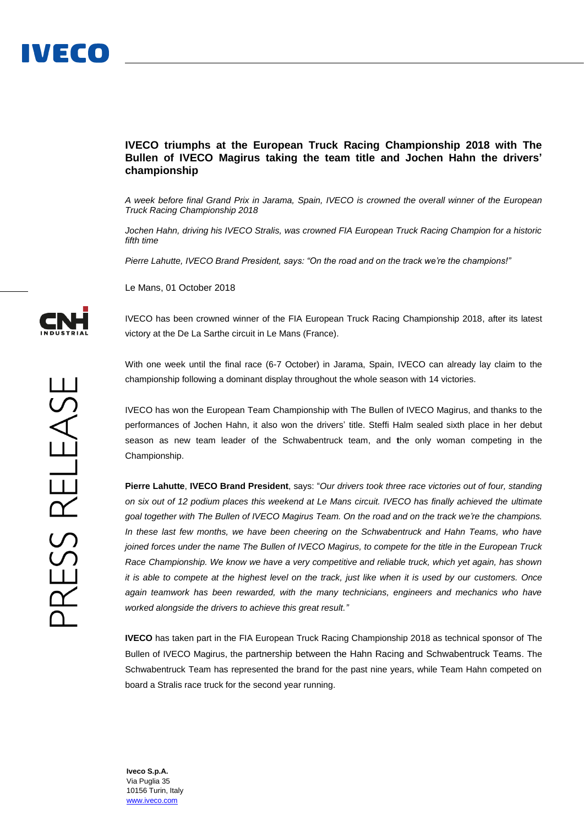## **IVECO triumphs at the European Truck Racing Championship 2018 with The Bullen of IVECO Magirus taking the team title and Jochen Hahn the drivers' championship**

*A week before final Grand Prix in Jarama, Spain, IVECO is crowned the overall winner of the European Truck Racing Championship 2018*

*Jochen Hahn, driving his IVECO Stralis, was crowned FIA European Truck Racing Champion for a historic fifth time*

*Pierre Lahutte, IVECO Brand President, says: "On the road and on the track we're the champions!"*

Le Mans, 01 October 2018

IVECO has been crowned winner of the FIA European Truck Racing Championship 2018, after its latest victory at the De La Sarthe circuit in Le Mans (France).

With one week until the final race (6-7 October) in Jarama, Spain, IVECO can already lay claim to the championship following a dominant display throughout the whole season with 14 victories.

IVECO has won the European Team Championship with The Bullen of IVECO Magirus, and thanks to the performances of Jochen Hahn, it also won the drivers' title. Steffi Halm sealed sixth place in her debut season as new team leader of the Schwabentruck team, and **t**he only woman competing in the Championship.

**Pierre Lahutte**, **IVECO Brand President**, says: "*Our drivers took three race victories out of four, standing on six out of 12 podium places this weekend at Le Mans circuit. IVECO has finally achieved the ultimate goal together with The Bullen of IVECO Magirus Team. On the road and on the track we're the champions. In these last few months, we have been cheering on the Schwabentruck and Hahn Teams, who have joined forces under the name The Bullen of IVECO Magirus, to compete for the title in the European Truck Race Championship. We know we have a very competitive and reliable truck, which yet again, has shown it is able to compete at the highest level on the track, just like when it is used by our customers. Once again teamwork has been rewarded, with the many technicians, engineers and mechanics who have worked alongside the drivers to achieve this great result."*

**IVECO** has taken part in the FIA European Truck Racing Championship 2018 as technical sponsor of The Bullen of IVECO Magirus, the partnership between the Hahn Racing and Schwabentruck Teams. The Schwabentruck Team has represented the brand for the past nine years, while Team Hahn competed on board a Stralis race truck for the second year running.



**Iveco S.p.A.** Via Puglia 35 10156 Turin, Italy [www.iveco.com](http://www.iveco.com/)